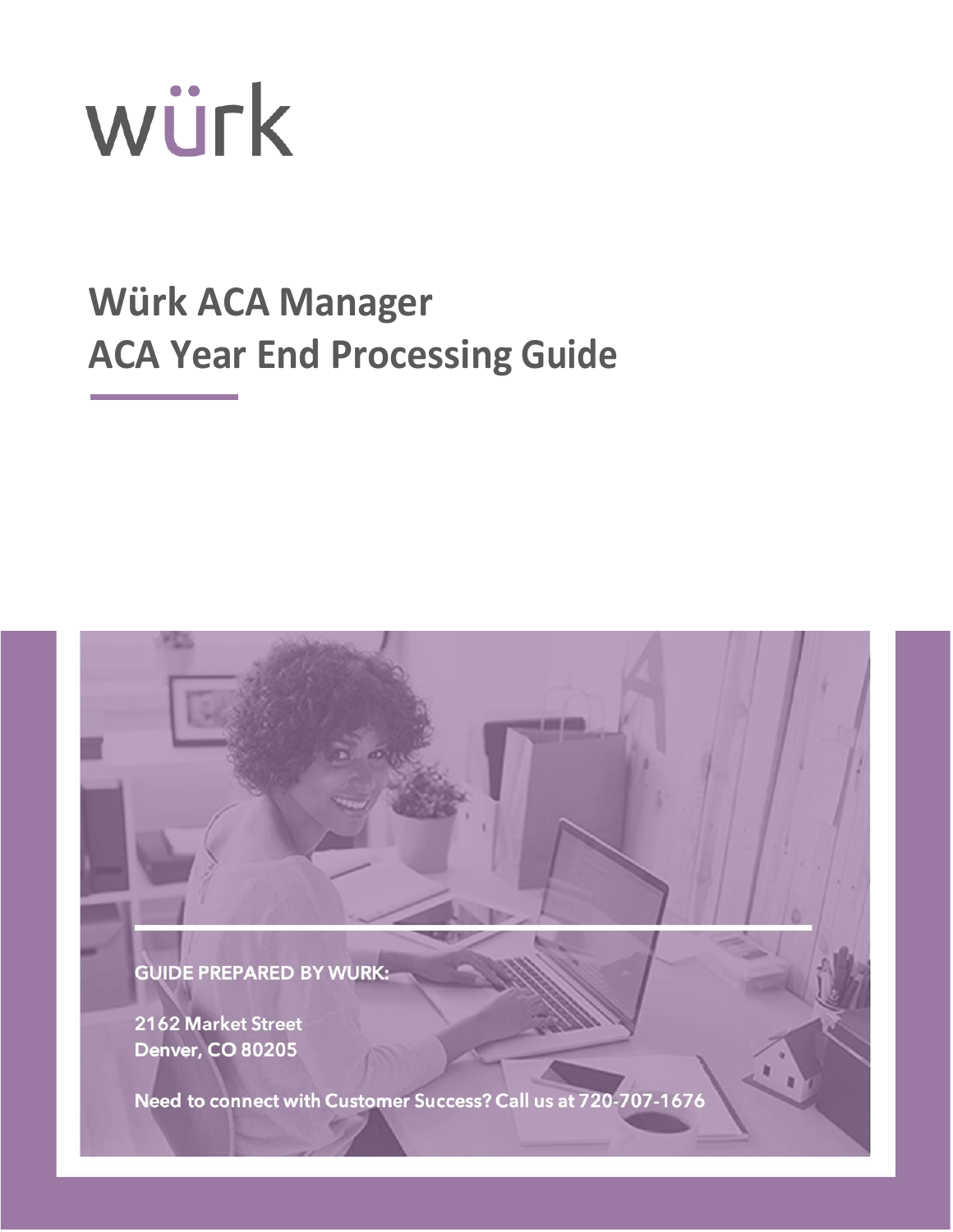

# **Würk ACA Manager ACA Year End Processing Guide**



2162 Market Street **Denver, CO 80205** 

Need to connect with Customer Success? Call us at 720-707-1676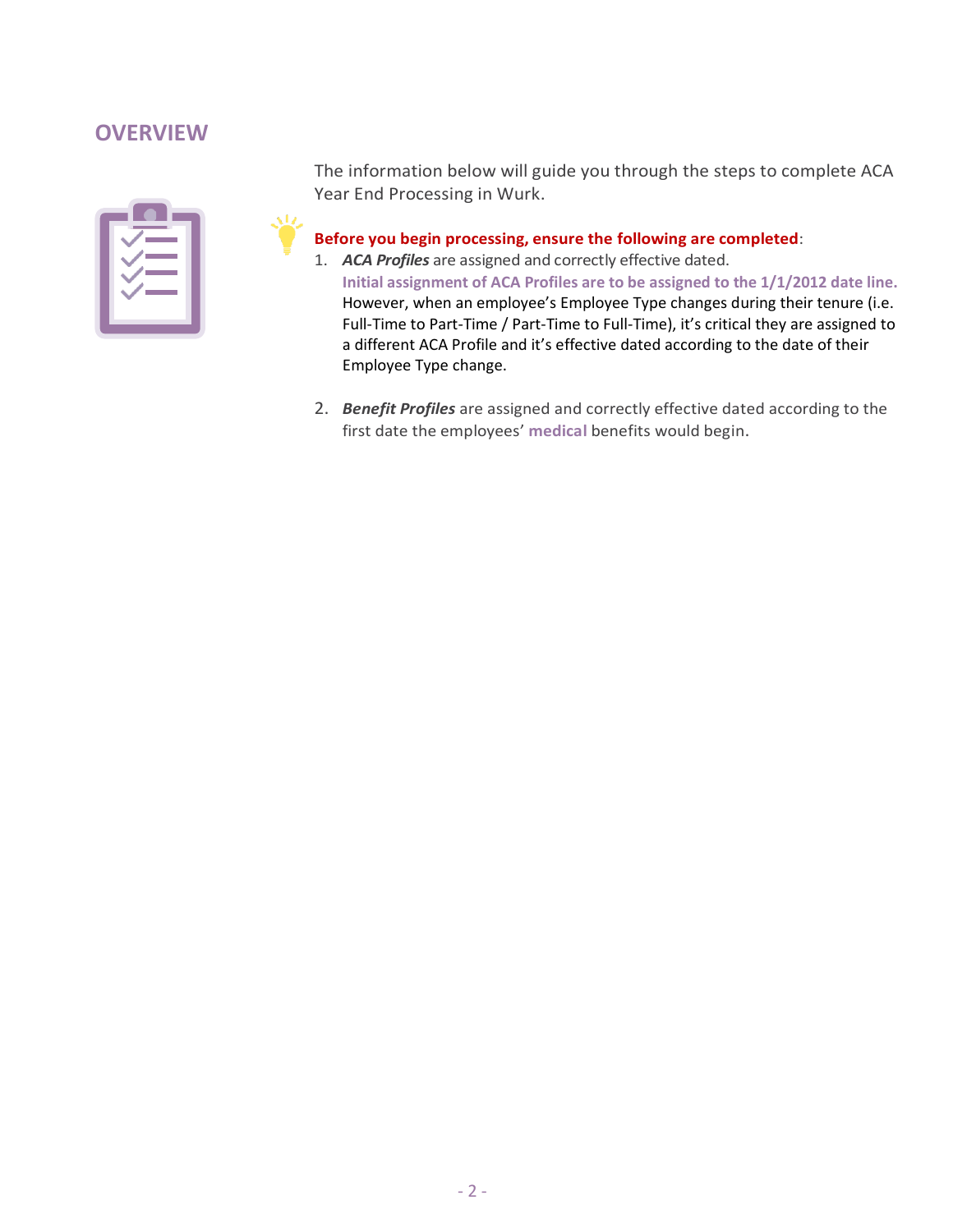# **OVERVIEW**

The information below will guide you through the steps to complete ACA Year End Processing in Wurk.

## **Before you begin processing, ensure the following are completed**:

- 1. *ACA Profiles* are assigned and correctly effective dated. **Initial assignment of ACA Profiles are to be assigned to the 1/1/2012 date line.** However, when an employee's Employee Type changes during their tenure (i.e. Full-Time to Part-Time / Part-Time to Full-Time), it's critical they are assigned to a different ACA Profile and it's effective dated according to the date of their Employee Type change.
- 2. *Benefit Profiles* are assigned and correctly effective dated according to the first date the employees' **medical** benefits would begin.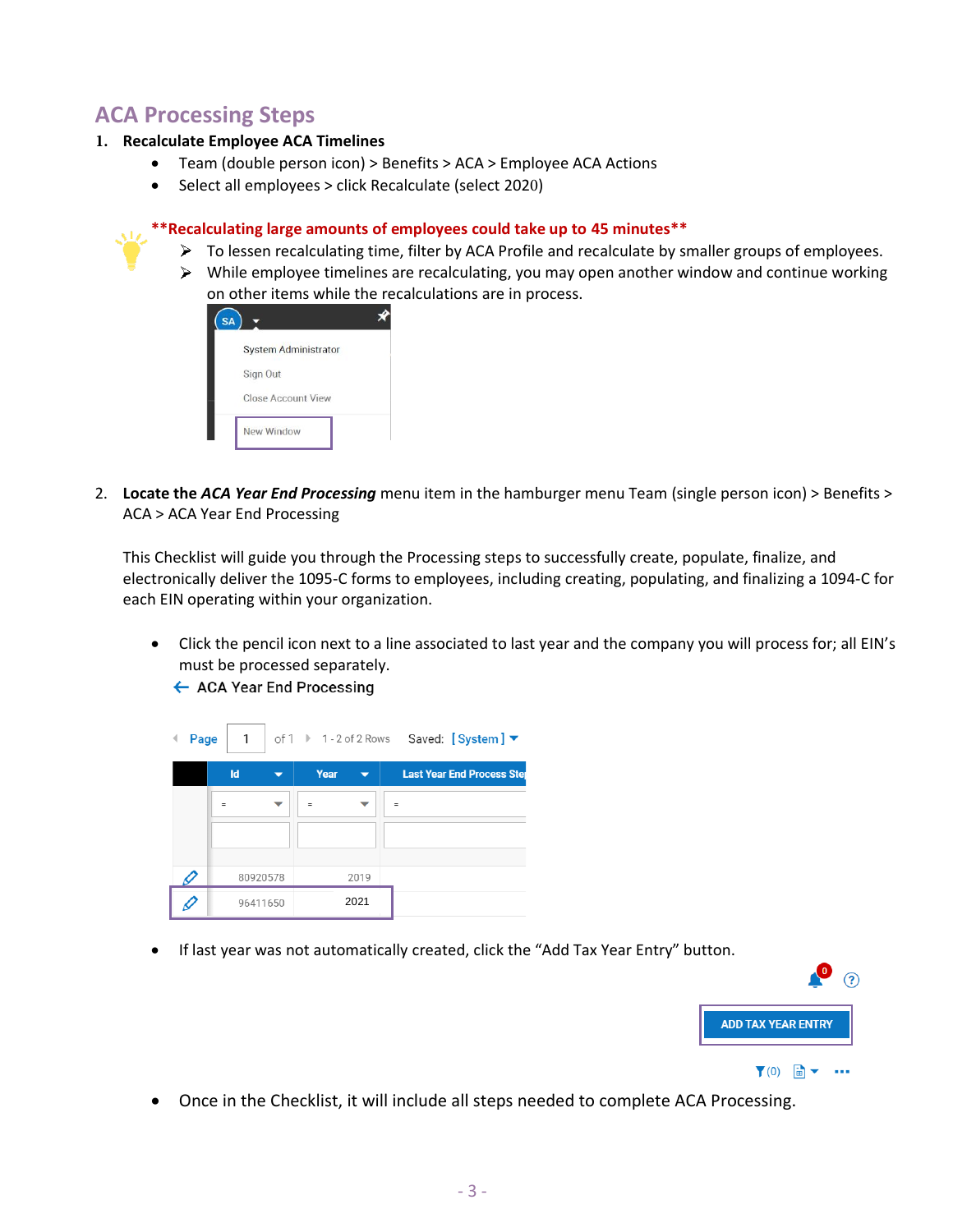# **ACA Processing Steps**

#### **1. Recalculate Employee ACA Timelines**

- Team (double person icon) > Benefits > ACA > Employee ACA Actions
- Select all employees > click Recalculate (select 2020)

#### **\*\*Recalculating large amounts of employees could take up to 45 minutes\*\***

- $\triangleright$  To lessen recalculating time, filter by ACA Profile and recalculate by smaller groups of employees.
- $\triangleright$  While employee timelines are recalculating, you may open another window and continue working on other items while the recalculations are in process.

| SΑ |                             |
|----|-----------------------------|
|    | <b>System Administrator</b> |
|    | Sign Out                    |
|    | <b>Close Account View</b>   |
|    | New Window                  |

2. **Locate the** *ACA Year End Processing* menu item in the hamburger menu Team (single person icon) > Benefits > ACA > ACA Year End Processing

This Checklist will guide you through the Processing steps to successfully create, populate, finalize, and electronically deliver the 1095-C forms to employees, including creating, populating, and finalizing a 1094-C for each EIN operating within your organization.

• Click the pencil icon next to a line associated to last year and the company you will process for; all EIN's must be processed separately.

← ACA Year End Processing



• If last year was not automatically created, click the "Add Tax Year Entry" button.



• Once in the Checklist, it will include all steps needed to complete ACA Processing.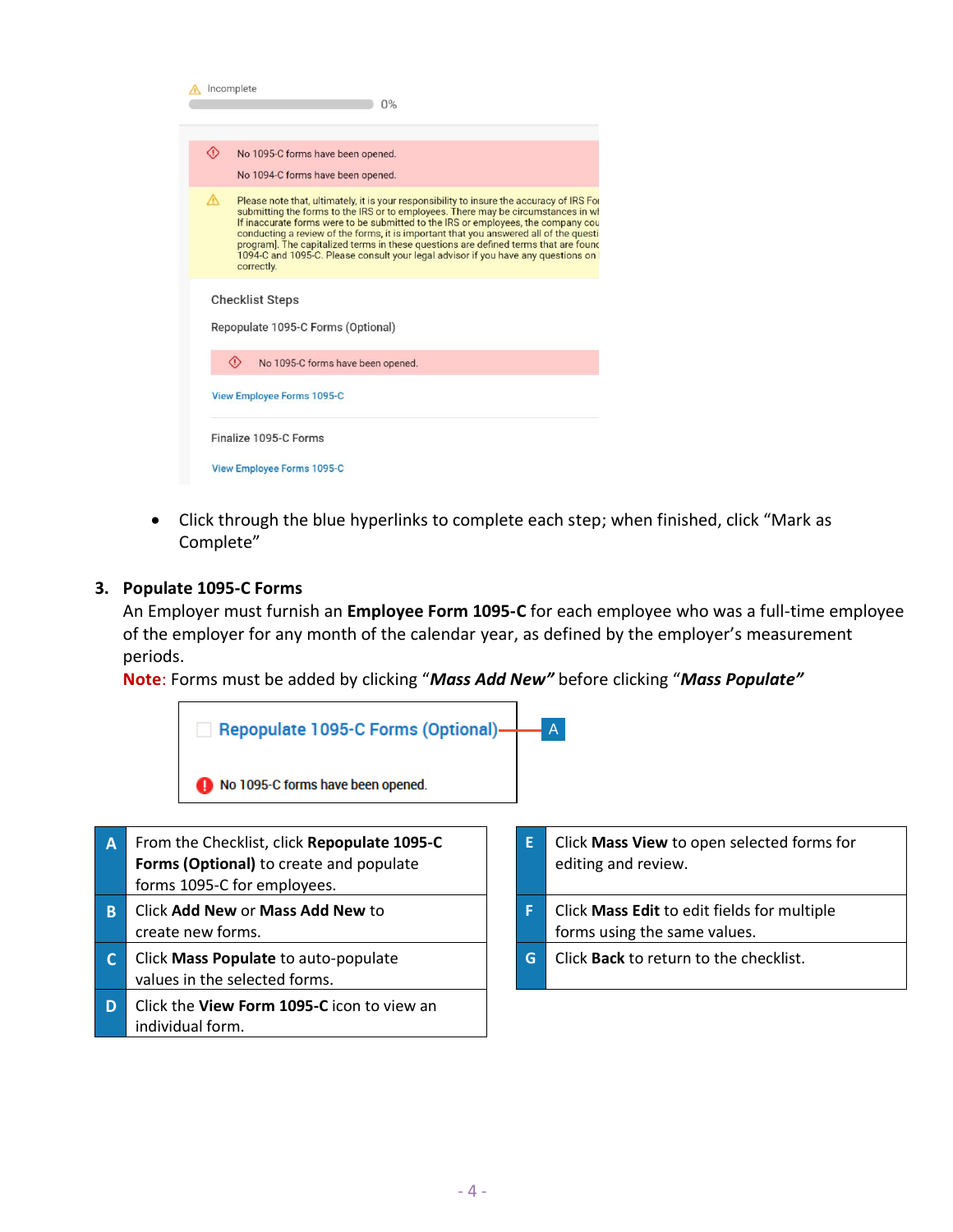| Incomplete<br>0%                                                                                                                                                                                                                                                                                                                                                                                                                                                                                                                                                |
|-----------------------------------------------------------------------------------------------------------------------------------------------------------------------------------------------------------------------------------------------------------------------------------------------------------------------------------------------------------------------------------------------------------------------------------------------------------------------------------------------------------------------------------------------------------------|
| ◈<br>No 1095-C forms have been opened.<br>No 1094-C forms have been opened.                                                                                                                                                                                                                                                                                                                                                                                                                                                                                     |
| A<br>Please note that, ultimately, it is your responsibility to insure the accuracy of IRS For<br>submitting the forms to the IRS or to employees. There may be circumstances in wh<br>If inaccurate forms were to be submitted to the IRS or employees, the company cou<br>conducting a review of the forms, it is important that you answered all of the question<br>program]. The capitalized terms in these questions are defined terms that are found<br>1094-C and 1095-C. Please consult your legal advisor if you have any questions on I<br>correctly. |
| <b>Checklist Steps</b><br>Repopulate 1095-C Forms (Optional)                                                                                                                                                                                                                                                                                                                                                                                                                                                                                                    |
| ⊙<br>No 1095-C forms have been opened.<br><b>View Employee Forms 1095-C</b>                                                                                                                                                                                                                                                                                                                                                                                                                                                                                     |
| Finalize 1095-C Forms<br>View Employee Forms 1095-C                                                                                                                                                                                                                                                                                                                                                                                                                                                                                                             |

• Click through the blue hyperlinks to complete each step; when finished, click "Mark as Complete"

## **3. Populate 1095-C Forms**

An Employer must furnish an **Employee Form 1095-C** for each employee who was a full-time employee of the employer for any month of the calendar year, as defined by the employer's measurement periods.

**Note**: Forms must be added by clicking "*Mass Add New"* before clicking "*Mass Populate"*



- **A** From the Checklist, click **Repopulate 1095-C Forms (Optional)** to create and populate forms 1095-C for employees. **B** Click **Add New** or **Mass Add New** to create new forms. **C** Click **Mass Populate** to auto-populate values in the selected forms.
- **D** Click the **View Form 1095-C** icon to view an individual form.
- **E** Click **Mass View** to open selected forms for editing and review. **F** Click **Mass Edit** to edit fields for multiple forms using the same values. **G** Click **Back** to return to the checklist.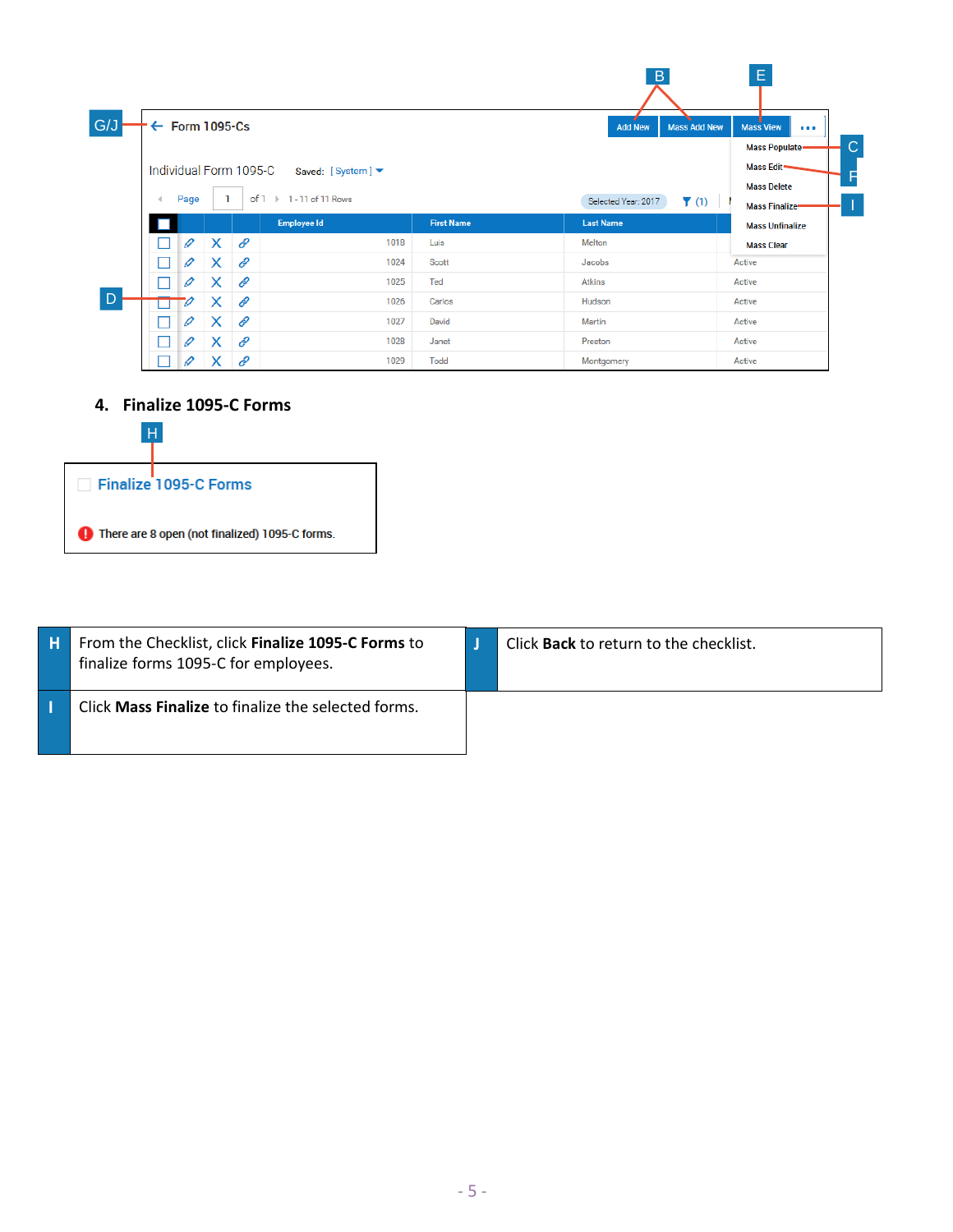|  |               |                           |   |                                          |                   | B                                               | E.                                  |
|--|---------------|---------------------------|---|------------------------------------------|-------------------|-------------------------------------------------|-------------------------------------|
|  |               | $\leftarrow$ Form 1095-Cs |   |                                          |                   | <b>Add New</b><br><b>Mass Add New</b>           | <b>Mass View</b><br><b>ALC UNIT</b> |
|  |               |                           |   |                                          |                   |                                                 | <b>Mass Populate-</b>               |
|  |               |                           |   | Individual Form 1095-C Saved: [System] ▼ |                   |                                                 | Mass Edit-                          |
|  |               |                           |   | of $1 \rightarrow$<br>1 - 11 of 11 Rows  |                   |                                                 | <b>Mass Delete</b>                  |
|  | Page          |                           |   |                                          |                   | Selected Year: 2017<br>$\blacktriangledown$ (1) | <b>Mass Finalize-</b>               |
|  |               |                           |   | Employee Id                              | <b>First Name</b> | <b>Last Name</b>                                | <b>Mass Unfinalize</b>              |
|  | I             | $\times$                  | Ė | 1018                                     | Luis              | Melton                                          | <b>Mass Clear</b>                   |
|  | $\mathscr{Q}$ | X                         | ℰ | 1024                                     | Scott             | Jacobs                                          | Active                              |
|  | $\mathscr{O}$ | X                         | Ė | 1025                                     | Ted               | Atkins                                          | Active                              |
|  | v             | Х                         | O | 1026                                     | Carlos            | Hudson                                          | Active                              |
|  | I             | X                         | ℰ | 1027                                     | David             | Martin                                          | Active                              |
|  | $\mathscr{O}$ | X                         | ℰ | 1028                                     | Janet             | Preston                                         | Active                              |
|  | 0             | X                         | ℰ | 1029                                     | Todd              | Montgomery                                      | Active                              |

**4. Finalize 1095-C Forms**



| н | From the Checklist, click Finalize 1095-C Forms to<br>finalize forms 1095-C for employees. | Click <b>Back</b> to return to the checklist. |
|---|--------------------------------------------------------------------------------------------|-----------------------------------------------|
|   | Click Mass Finalize to finalize the selected forms.                                        |                                               |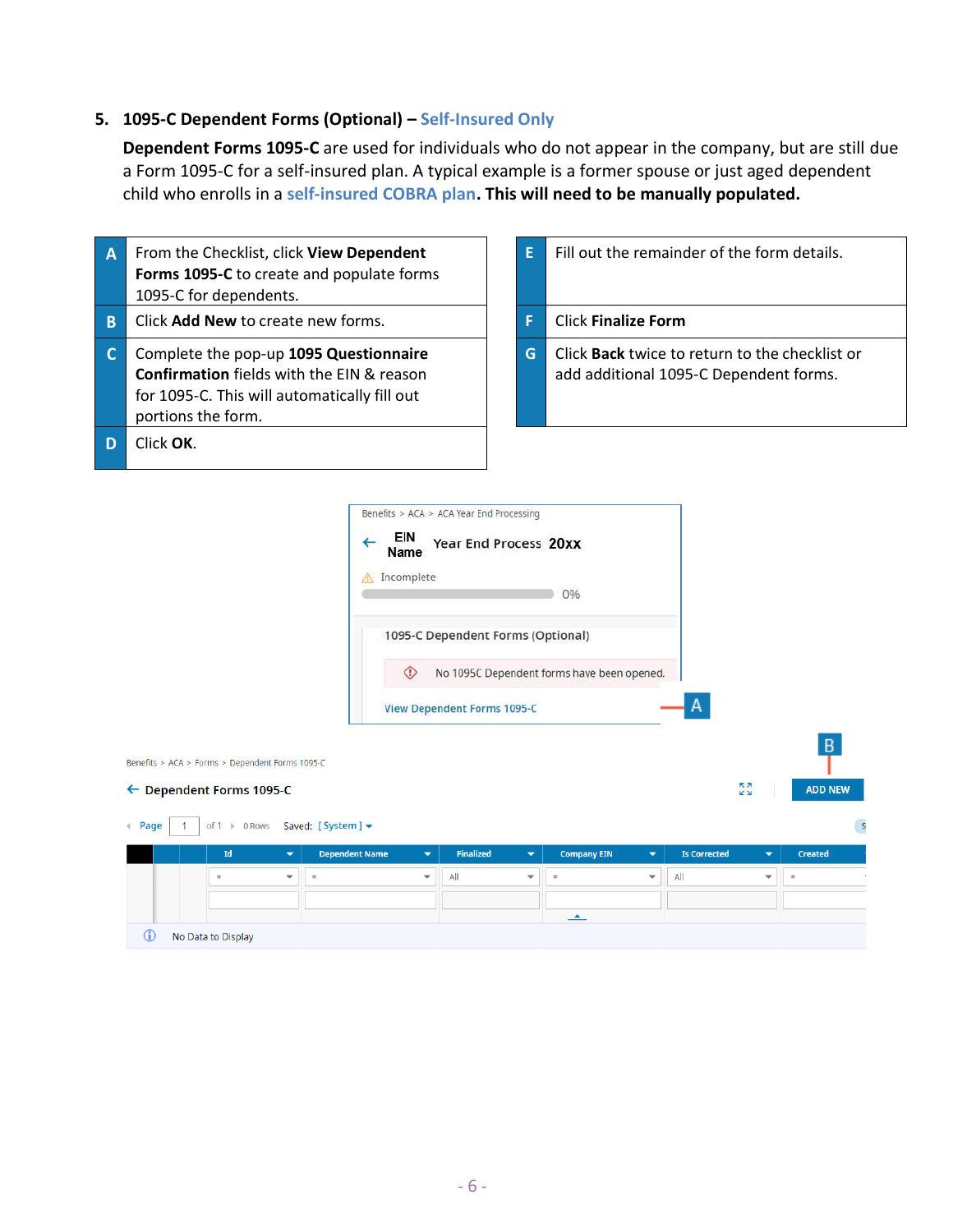# **5. 1095-C Dependent Forms (Optional) – Self-Insured Only**

**Dependent Forms 1095-C** are used for individuals who do not appear in the company, but are still due a Form 1095-C for a self-insured plan. A typical example is a former spouse or just aged dependent child who enrolls in a **self-insured COBRA plan. This will need to be manually populated.**

| A | From the Checklist, click View Dependent<br>Forms 1095-C to create and populate forms<br>1095-C for dependents.                                                  | F | Fill out the remain                              |
|---|------------------------------------------------------------------------------------------------------------------------------------------------------------------|---|--------------------------------------------------|
| B | Click Add New to create new forms.                                                                                                                               |   | <b>Click Finalize Form</b>                       |
|   | Complete the pop-up 1095 Questionnaire<br><b>Confirmation</b> fields with the EIN & reason<br>for 1095-C. This will automatically fill out<br>portions the form. | G | Click <b>Back</b> twice to<br>add additional 109 |
| D | Click OK.                                                                                                                                                        |   |                                                  |

| F  | Fill out the remainder of the form details.                                                     |
|----|-------------------------------------------------------------------------------------------------|
|    | <b>Click Finalize Form</b>                                                                      |
| G. | Click <b>Back</b> twice to return to the checklist or<br>add additional 1095-C Dependent forms. |

|                                                                               | Benefits > ACA > ACA Year End Processing<br>EIN<br><b>Year End Process 20xx</b><br>←<br>Name<br>Incomplete<br>A            |                     |                          |                |
|-------------------------------------------------------------------------------|----------------------------------------------------------------------------------------------------------------------------|---------------------|--------------------------|----------------|
|                                                                               | 0%                                                                                                                         |                     |                          |                |
|                                                                               | 1095-C Dependent Forms (Optional)                                                                                          |                     |                          |                |
|                                                                               | ◈<br>No 1095C Dependent forms have been opened.                                                                            |                     |                          |                |
|                                                                               | <b>View Dependent Forms 1095-C</b>                                                                                         | A                   |                          |                |
| Benefits > ACA > Forms > Dependent Forms 1095-C                               |                                                                                                                            |                     |                          | B              |
| ← Dependent Forms 1095-C                                                      |                                                                                                                            |                     | <b>KZ</b><br><b>KN</b>   | <b>ADD NEW</b> |
| of 1 > 0 Rows Saved: [System ] $\blacktriangledown$<br>Page<br>$\blacksquare$ |                                                                                                                            |                     |                          |                |
| Id<br><b>Dependent Name</b><br>$\overline{\phantom{a}}$                       | <b>Finalized</b><br><b>Company EIN</b><br>$\overline{\phantom{a}}$<br>$\overline{\phantom{a}}$<br>$\overline{\phantom{a}}$ | <b>Is Corrected</b> | $\overline{\phantom{a}}$ | <b>Created</b> |

|   | Id                 | $\overline{\phantom{0}}$ | <b>Dependent Name</b> | $\blacktriangledown$ | Finalized | $\mathbf{v}$ | <b>Company EIN</b> | $\overline{\phantom{a}}$ | <b>Is Corrected</b> | ▽                        | <b>Created</b> |
|---|--------------------|--------------------------|-----------------------|----------------------|-----------|--------------|--------------------|--------------------------|---------------------|--------------------------|----------------|
|   | $=$                | $\overline{\phantom{a}}$ | $=$                   | $\checkmark$         | All       | $\checkmark$ | $=$                | $\checkmark$             | All                 | $\overline{\phantom{a}}$ | $=$            |
|   |                    |                          |                       |                      |           |              |                    |                          |                     |                          |                |
|   |                    |                          |                       |                      |           |              |                    |                          |                     |                          |                |
| O | No Data to Display |                          |                       |                      |           |              |                    |                          |                     |                          |                |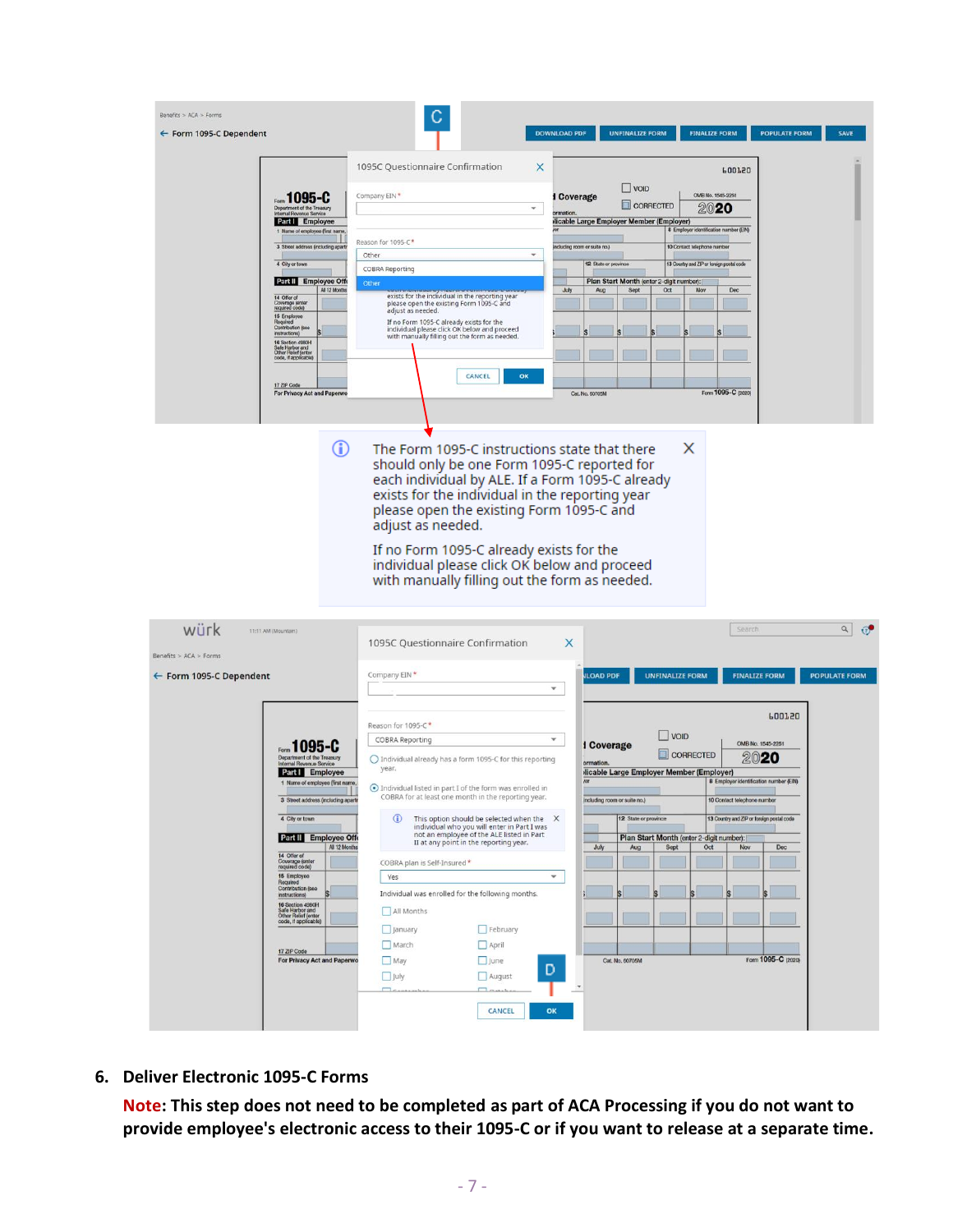| Benefits > ACA > Forms<br>← Form 1095-C Dependent                                                                                                                                                                                                                                                                                                                                                                                                                                                                                                     |                                                                                                                                                                                                                                                                                                                                                                                                                                                                                                                                                                                                                                                                                                                                                            | <b>UNFINALIZE FORM</b><br><b>DOWNLOAD PDF</b><br><b>FINALIZE FORM</b>                                                                                                                                                                                                                                                                                                                                                                                           | <b>POPULATE FORM</b><br>SAVE                                                                                                                                                                                                                                                        |
|-------------------------------------------------------------------------------------------------------------------------------------------------------------------------------------------------------------------------------------------------------------------------------------------------------------------------------------------------------------------------------------------------------------------------------------------------------------------------------------------------------------------------------------------------------|------------------------------------------------------------------------------------------------------------------------------------------------------------------------------------------------------------------------------------------------------------------------------------------------------------------------------------------------------------------------------------------------------------------------------------------------------------------------------------------------------------------------------------------------------------------------------------------------------------------------------------------------------------------------------------------------------------------------------------------------------------|-----------------------------------------------------------------------------------------------------------------------------------------------------------------------------------------------------------------------------------------------------------------------------------------------------------------------------------------------------------------------------------------------------------------------------------------------------------------|-------------------------------------------------------------------------------------------------------------------------------------------------------------------------------------------------------------------------------------------------------------------------------------|
| Form 1095-C<br>Department of the Treasury<br>Internal Revenue Service<br>Part L Employee<br>1 Name of employee (first name,<br>3 Street address (including apartr<br>4 City or town<br>Part II Employee Offi<br>All 12 Months<br>14 Offer of<br>Coverage (enter<br>required code)<br>15 Employee<br>Required<br>Contribution (see<br>instructions)<br>16 Section 4980H<br>Safe Harbor and<br>Other Relief (enter<br>code, if applicable)<br>17 ZIP Code<br>For Privacy Act and Paperwo                                                                | 1095C Questionnaire Confirmation<br>X<br>Company EIN*<br>$\star$<br>Reason for 1095-C*<br>Other<br>٠<br><b>COBRA Reporting</b><br>Other<br>exists for the individual in the reporting year<br>please open the existing Form 1095-C and<br>adjust as needed.<br>If no Form 1095-C already exists for the<br>individual please click OK below and proceed<br>with manually filling out the form as needed.<br>CANCEL<br>OK                                                                                                                                                                                                                                                                                                                                   | $\Box$ VOID<br>OMB No. 1545-2251<br>I Coverage<br>CORRECTED<br>2020<br><b><i><u>amation</u></i></b><br>dicable Large Employer Member (Employer)<br>8 Employer identification number (EIN)<br>including room or suite no.)<br>10 Contact telephone number<br>12 State or province<br>13 Country and ZIP or foreign postal code<br>Plan Start Month (enter 2-digit number):<br>July<br>Sept<br>Oct<br>Nov<br>Dec.<br>Aug<br>Form 1095-C (2020)<br>Cat. No. 60705M | <b>POOTSO</b>                                                                                                                                                                                                                                                                       |
| ⊕                                                                                                                                                                                                                                                                                                                                                                                                                                                                                                                                                     | The Form 1095-C instructions state that there<br>should only be one Form 1095-C reported for<br>each individual by ALE. If a Form 1095-C already<br>exists for the individual in the reporting year<br>please open the existing Form 1095-C and<br>adjust as needed.<br>If no Form 1095-C already exists for the<br>individual please click OK below and proceed<br>with manually filling out the form as needed.                                                                                                                                                                                                                                                                                                                                          | X                                                                                                                                                                                                                                                                                                                                                                                                                                                               |                                                                                                                                                                                                                                                                                     |
| würk<br>11:11 AM (Mountain)<br>Benefits > ACA > Forms<br>← Form 1095-C Dependent<br>Form 1095-C<br>Department of the Treasury<br>Part L Employee<br>1 Name of employee (first name,<br>3 Street address (including aparts<br>4 City or town<br>Part II Employee Offe<br>All 12 Months<br>14 Offer of<br>Coverage (enter<br>required code)<br>15 Employee<br>Required<br>Contribution (see<br>instructions)<br>16 Section 4980H<br>Safe Harbor and<br>Other Relief (enter<br>code, if applicable)<br>17 ZIP Code<br><b>For Privacy Act and Paperwo</b> | 1095C Questionnaire Confirmation<br>Company EIN*<br>Reason for 1095-C*<br>COBRA Reporting<br>$\bigcirc$ Individual already has a form 1095-C for this reporting<br>year.<br>Individual listed in part I of the form was enrolled in<br>COBRA for at least one month in the reporting year.<br>$\bigcirc$<br>This option should be selected when the X<br>individual who you will enter in Part I was<br>not an employee of the ALE listed in Part<br>II at any point in the reporting year.<br>COBRA plan is Self-Insured*<br>Yes<br>Individual was enrolled for the following months.<br>All Months<br>$\Box$ February<br>$\Box$ January<br>March<br>$\Box$ April<br>May<br>$\Box$ June<br>$\Box$ July<br>$\Box$ August<br>$\Box$ car<br>$\Box$<br>CANCEL | X<br><b>ILOAD PDF</b><br><b>UNFINALIZE FORM</b><br>$\mathbf{v}$<br><b>VOID</b><br>۰<br><b>1 Coverage</b><br>CORRECTED<br>ormation<br>dicable Large Employer Member (Employer)<br>/or<br>including room or suite no.)<br>12 State or province<br>Plan Start Month (enter 2-digit number):<br>July<br>Sept<br>Oct<br>Aug<br>٠<br>Cat. No. 60705M<br>D<br>OK                                                                                                       | $\alpha$ $\sigma$<br>Search<br><b>FINALIZE FORM</b><br><b>POPULATE FORM</b><br><b>PDOT50</b><br>OMB No. 1545-2251<br>2020<br>8 Employer identification number (EIN)<br>10 Contact telephone number<br>13 Country and ZIP or foreign postal code<br>Nov<br>Dec<br>Form 1095-C (2020) |

**6. Deliver Electronic 1095-C Forms**

**Note: This step does not need to be completed as part of ACA Processing if you do not want to provide employee's electronic access to their 1095-C or if you want to release at a separate time.**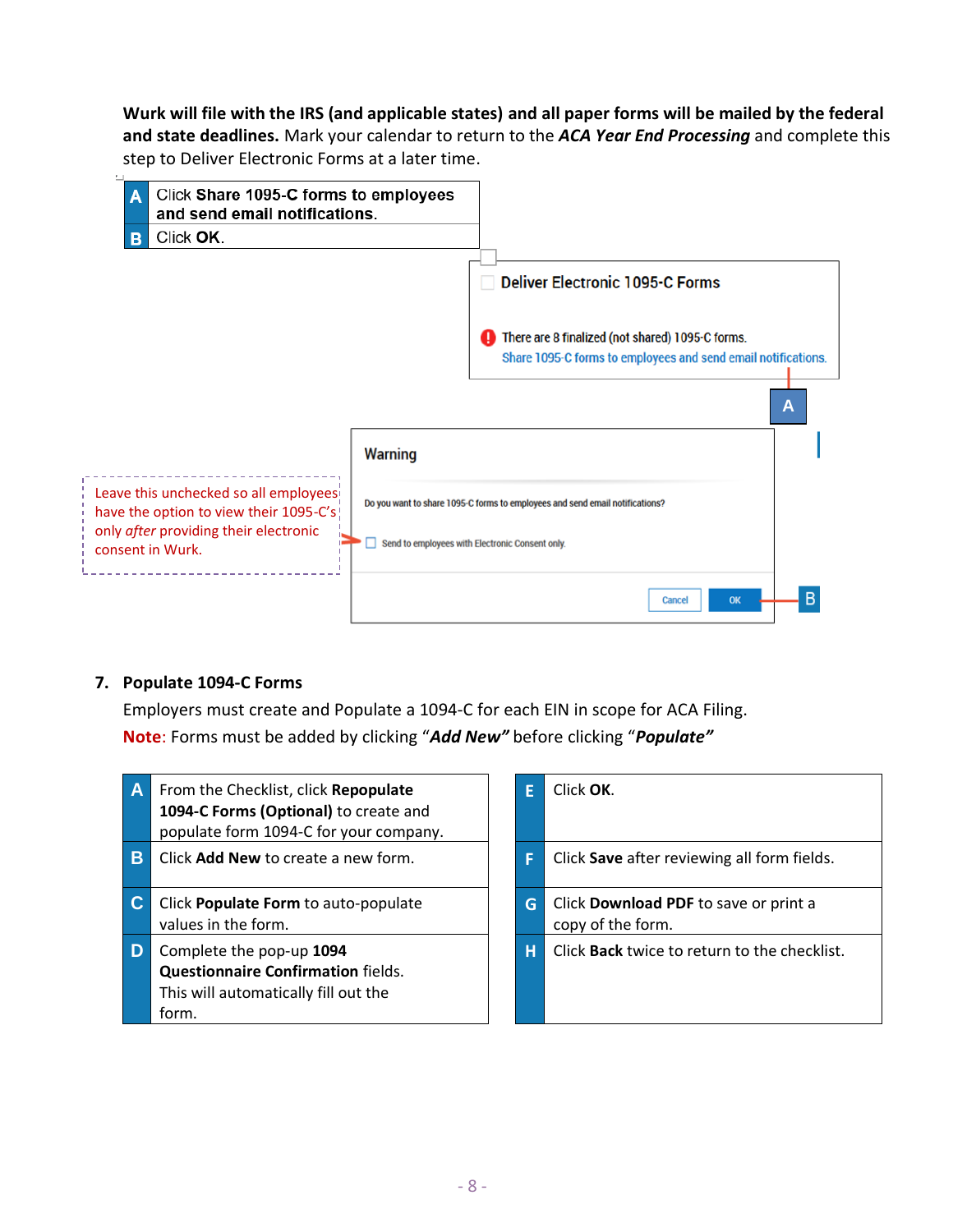**Wurk will file with the IRS (and applicable states) and all paper forms will be mailed by the federal and state deadlines.** Mark your calendar to return to the *ACA Year End Processing* and complete this step to Deliver Electronic Forms at a later time.



# **7. Populate 1094-C Forms**

Employers must create and Populate a 1094-C for each EIN in scope for ACA Filing. **Note**: Forms must be added by clicking "*Add New"* before clicking "*Populate"*

| A              | From the Checklist, click Repopulate<br>1094-C Forms (Optional) to create and<br>populate form 1094-C for your company. |   | Click OK.                                                  |
|----------------|-------------------------------------------------------------------------------------------------------------------------|---|------------------------------------------------------------|
| B              | Click Add New to create a new form.                                                                                     |   | Click Save after reviewing all form fields.                |
| $\mathbf C$    | Click Populate Form to auto-populate<br>values in the form.                                                             | G | Click Download PDF to save or print a<br>copy of the form. |
| $\overline{D}$ | Complete the pop-up 1094<br><b>Questionnaire Confirmation fields.</b><br>This will automatically fill out the<br>form.  | н | Click Back twice to return to the checklis                 |

| Click OK.                                                  |
|------------------------------------------------------------|
| Click Save after reviewing all form fields.                |
| Click Download PDF to save or print a<br>copy of the form. |
| Click <b>Back</b> twice to return to the checklist.        |
|                                                            |
| н.                                                         |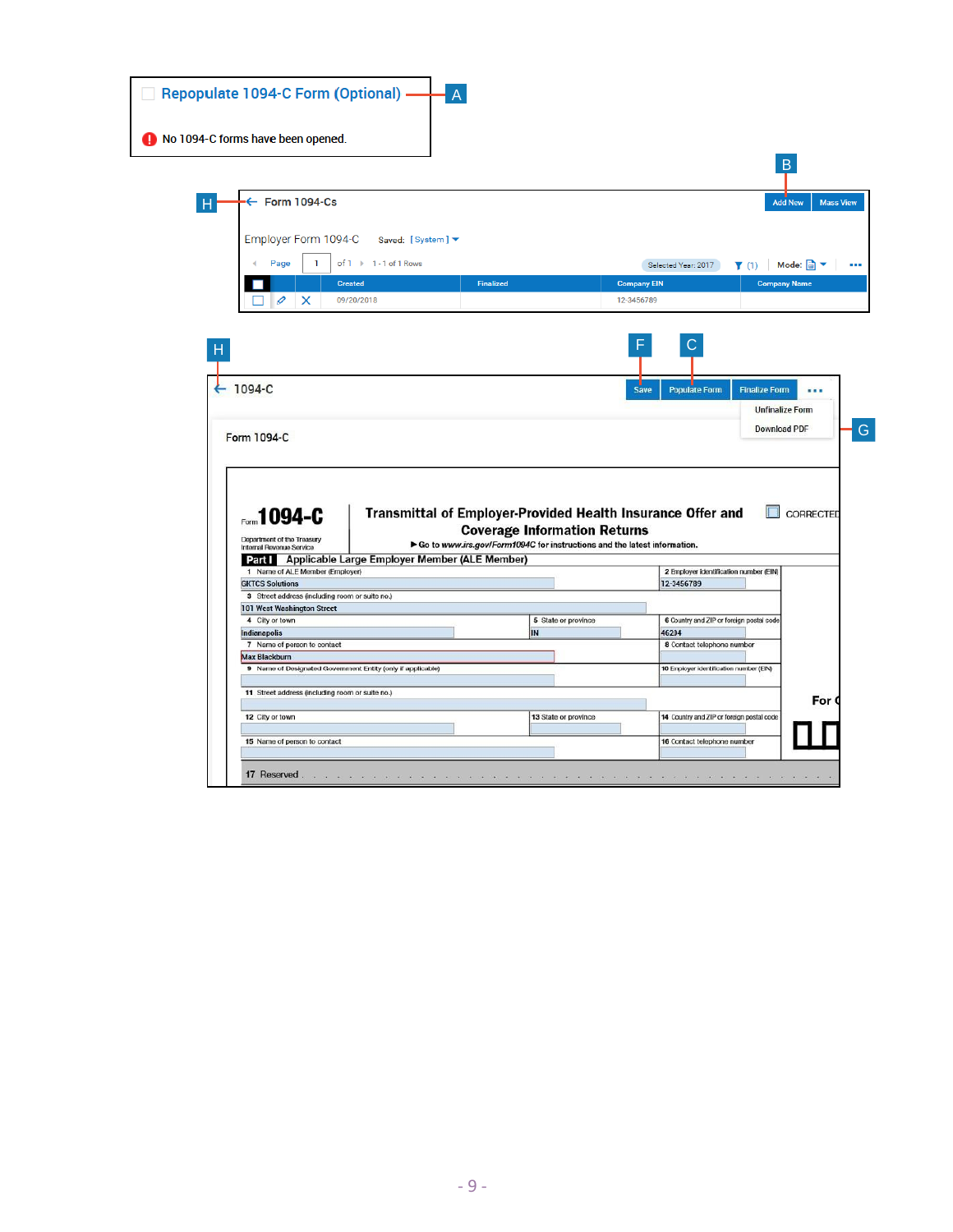| Repopulate 1094-C Form (Optional) -                         |                                                      |                  |                                                                          |                                           |                                               |                  |
|-------------------------------------------------------------|------------------------------------------------------|------------------|--------------------------------------------------------------------------|-------------------------------------------|-----------------------------------------------|------------------|
| No 1094-C forms have been opened.                           |                                                      |                  |                                                                          |                                           |                                               |                  |
|                                                             |                                                      |                  |                                                                          |                                           | $\overline{B}$                                |                  |
| $\leftarrow$ Form 1094-Cs                                   |                                                      |                  |                                                                          |                                           | <b>Add New</b>                                | <b>Mass View</b> |
| Employer Form 1094-C                                        | Saved: [System] ▼                                    |                  |                                                                          |                                           |                                               |                  |
| $\mathbf{1}$<br>Page                                        | of $1 \rightarrow 1 - 1$ of 1 Rows                   |                  |                                                                          | Selected Year: 2017                       | Mode:                                         |                  |
|                                                             |                                                      |                  |                                                                          |                                           | $\blacktriangledown$ (1)                      |                  |
|                                                             | <b>Created</b>                                       | <b>Finalized</b> |                                                                          | <b>Company EIN</b>                        | <b>Company Name</b>                           |                  |
| $\varnothing$<br>X                                          | 09/20/2018                                           |                  |                                                                          | 12-3456789                                |                                               |                  |
| Form 1094-C                                                 |                                                      |                  |                                                                          |                                           | <b>Unfinalize Form</b><br><b>Download PDF</b> |                  |
| Form 1094-C                                                 |                                                      |                  | Transmittal of Employer-Provided Health Insurance Offer and              |                                           |                                               | <b>CORRECTED</b> |
| Department of the Treasury                                  |                                                      |                  | <b>Coverage Information Returns</b>                                      |                                           |                                               |                  |
| Internal Revenue Service                                    | Part   Applicable Large Employer Member (ALE Member) |                  | Go to www.irs.gov/Form1094C for instructions and the latest information. |                                           |                                               |                  |
| 1 Name of ALE Member (Employer)                             |                                                      |                  |                                                                          | 2 Employer identification number (EIN)    |                                               |                  |
| <b>GKTCS Solutions</b>                                      |                                                      |                  |                                                                          | 12-3456789                                |                                               |                  |
| 3 Street address (including room or suite no.)              |                                                      |                  |                                                                          |                                           |                                               |                  |
| 101 West Washington Street                                  |                                                      |                  |                                                                          |                                           |                                               |                  |
| 4 City or town                                              |                                                      |                  | 5 State or province                                                      | 6 Country and ZIP or foreign postal code  |                                               |                  |
| Indianapolis<br>7 Name of person to contact                 |                                                      | IN               |                                                                          | 46204<br>8 Contact telephone number       |                                               |                  |
| <b>Max Blackburn</b>                                        |                                                      |                  |                                                                          |                                           |                                               |                  |
| 9 Name of Designated Government Entity (only if applicable) |                                                      |                  |                                                                          | 10 Employer identification number (EIN)   |                                               |                  |
| 11 Street address (including room or suite no.)             |                                                      |                  |                                                                          |                                           |                                               | For (            |
| 12 City or town                                             |                                                      |                  | 13 State or province                                                     | 14 Country and ZIP or foreign postal code |                                               |                  |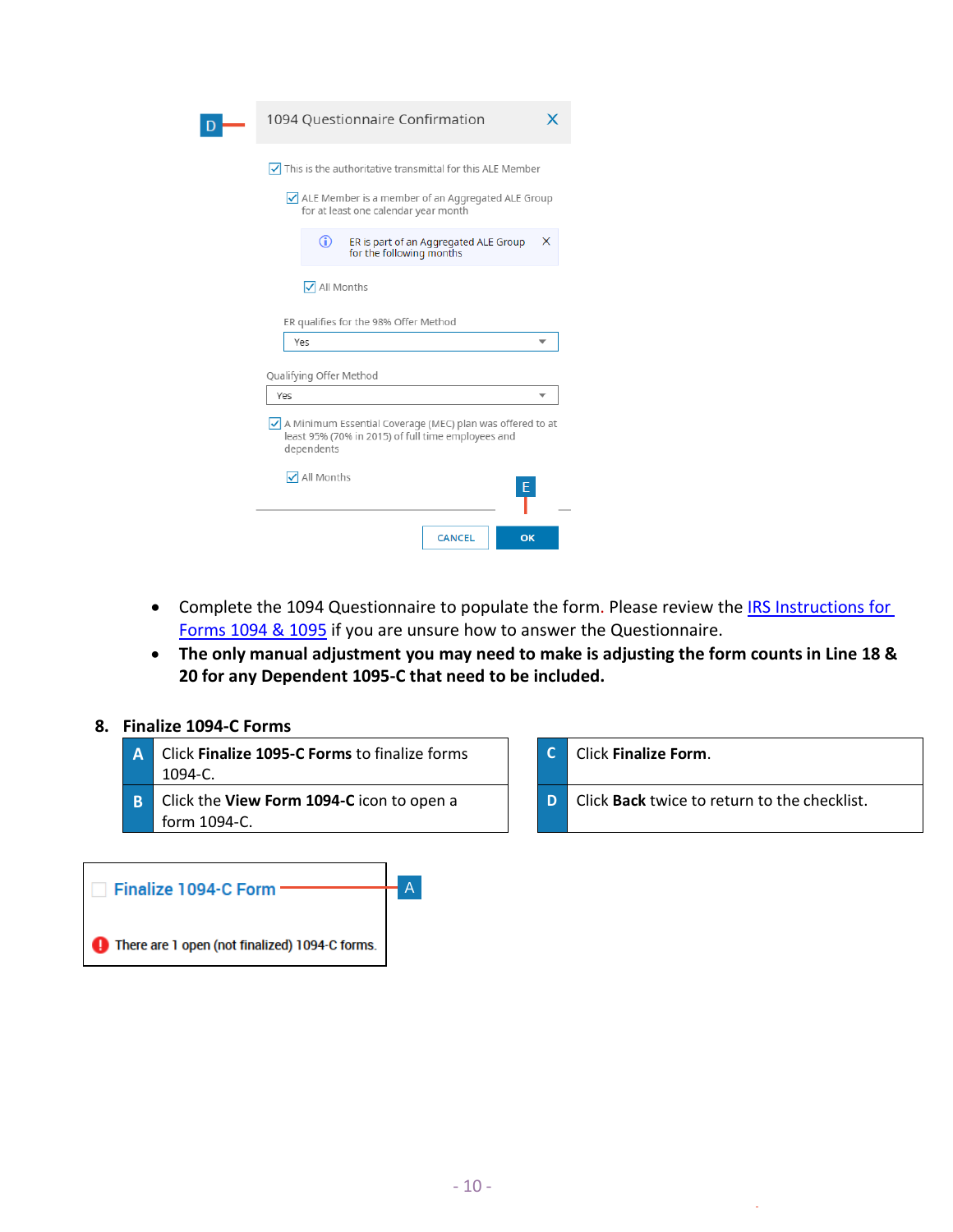| 1094 Questionnaire Confirmation                                                                                                         |   |
|-----------------------------------------------------------------------------------------------------------------------------------------|---|
| $\sqrt{\phantom{a}}$ This is the authoritative transmittal for this ALE Member                                                          |   |
| $\sqrt{}$ ALE Member is a member of an Aggregated ALE Group<br>for at least one calendar year month                                     |   |
| ⋒<br>ER is part of an Aggregated ALE Group<br>for the following months                                                                  | x |
| √ All Months                                                                                                                            |   |
| ER qualifies for the 98% Offer Method                                                                                                   |   |
| Yes                                                                                                                                     |   |
| Qualifying Offer Method                                                                                                                 |   |
| Yes                                                                                                                                     |   |
| $\sqrt{}$ A Minimum Essential Coverage (MEC) plan was offered to at<br>least 95% (70% in 2015) of full time employees and<br>dependents |   |
| √ All Months<br>Е                                                                                                                       |   |
| <b>CANCEL</b><br>OK                                                                                                                     |   |

- Complete the 1094 Questionnaire to populate the form. Please review the IRS Instructions for Forms [1094 & 1095](https://www.irs.gov/pub/irs-pdf/i109495c.pdf) if you are unsure how to answer the Questionnaire.
- **The only manual adjustment you may need to make is adjusting the form counts in Line 18 & 20 for any Dependent 1095-C that need to be included.**

## **8. Finalize 1094-C Forms**

**A** Click **Finalize 1095-C Forms** to finalize forms 1094-C. **C** Click **Finalize Form**. **B** Click the **View Form 1094-C** icon to open a form 1094-C. **D** Click **Back** twice to return to the checklist.

| <b>Finalize 1094-C Form</b>                    |  |
|------------------------------------------------|--|
| There are 1 open (not finalized) 1094-C forms. |  |